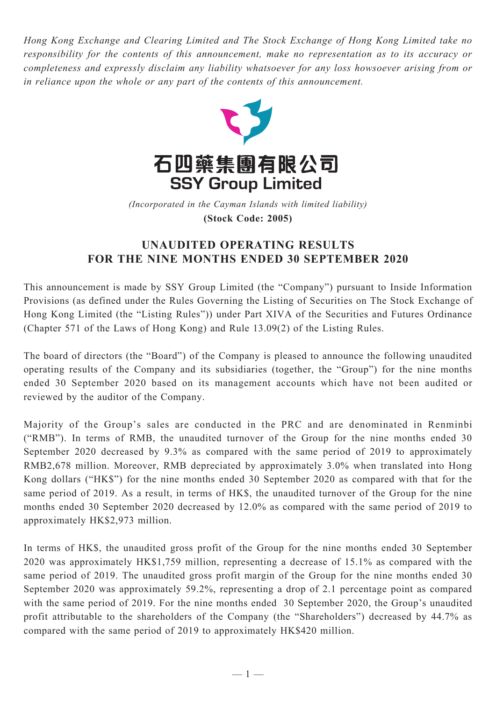*Hong Kong Exchange and Clearing Limited and The Stock Exchange of Hong Kong Limited take no responsibility for the contents of this announcement, make no representation as to its accuracy or completeness and expressly disclaim any liability whatsoever for any loss howsoever arising from or in reliance upon the whole or any part of the contents of this announcement.*



(Incorporated in the Cayman Islands with limited liability) **(Stock Code: 2005)** *(Incorporated in the Cayman Islands with limited liability)* **(Stock Code: 2005)**

## **UNAUDITED OPERATING RESULTS FOR THE NINE MONTHS ENDED 30 SEPTEMBER 2020**

This announcement is made by SSY Group Limited (the "Company") pursuant to Inside Information Provisions (as defined under the Rules Governing the Listing of Securities on The Stock Exchange of Hong Kong Limited (the "Listing Rules")) under Part XIVA of the Securities and Futures Ordinance (Chapter 571 of the Laws of Hong Kong) and Rule 13.09(2) of the Listing Rules.

The board of directors (the "Board") of the Company is pleased to announce the following unaudited operating results of the Company and its subsidiaries (together, the "Group") for the nine months ended 30 September 2020 based on its management accounts which have not been audited or reviewed by the auditor of the Company.

Majority of the Group's sales are conducted in the PRC and are denominated in Renminbi ("RMB"). In terms of RMB, the unaudited turnover of the Group for the nine months ended 30 September 2020 decreased by 9.3% as compared with the same period of 2019 to approximately RMB2,678 million. Moreover, RMB depreciated by approximately 3.0% when translated into Hong Kong dollars ("HK\$") for the nine months ended 30 September 2020 as compared with that for the same period of 2019. As a result, in terms of HK\$, the unaudited turnover of the Group for the nine months ended 30 September 2020 decreased by 12.0% as compared with the same period of 2019 to approximately HK\$2,973 million.

In terms of HK\$, the unaudited gross profit of the Group for the nine months ended 30 September 2020 was approximately HK\$1,759 million, representing a decrease of 15.1% as compared with the same period of 2019. The unaudited gross profit margin of the Group for the nine months ended 30 September 2020 was approximately 59.2%, representing a drop of 2.1 percentage point as compared with the same period of 2019. For the nine months ended 30 September 2020, the Group's unaudited profit attributable to the shareholders of the Company (the "Shareholders") decreased by 44.7% as compared with the same period of 2019 to approximately HK\$420 million.